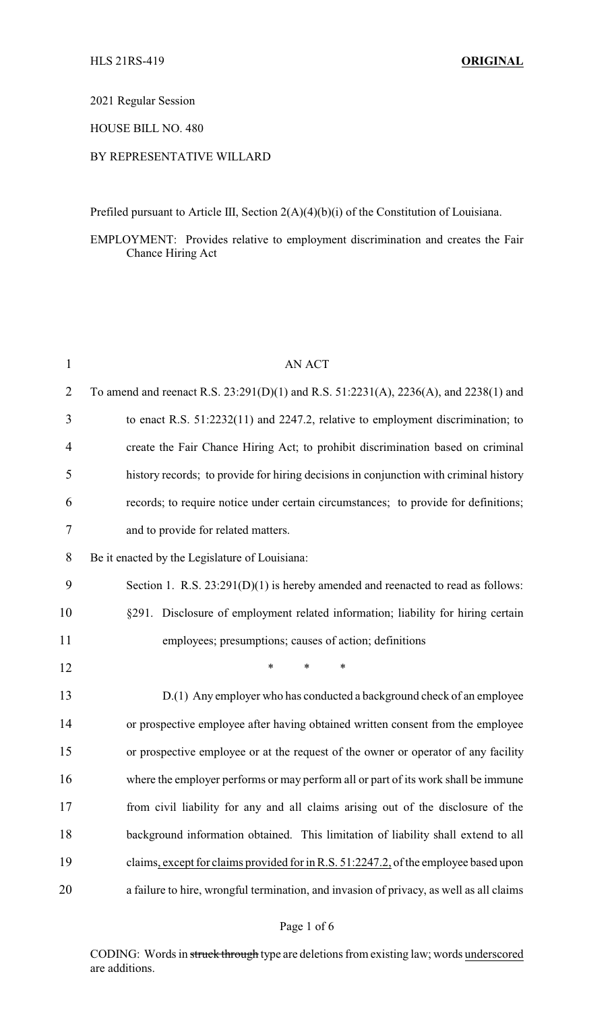## 2021 Regular Session

## HOUSE BILL NO. 480

## BY REPRESENTATIVE WILLARD

Prefiled pursuant to Article III, Section 2(A)(4)(b)(i) of the Constitution of Louisiana.

EMPLOYMENT: Provides relative to employment discrimination and creates the Fair Chance Hiring Act

| $\mathbf{1}$   | <b>AN ACT</b>                                                                           |
|----------------|-----------------------------------------------------------------------------------------|
| $\overline{2}$ | To amend and reenact R.S. 23:291(D)(1) and R.S. 51:2231(A), 2236(A), and 2238(1) and    |
| 3              | to enact R.S. 51:2232(11) and 2247.2, relative to employment discrimination; to         |
| 4              | create the Fair Chance Hiring Act; to prohibit discrimination based on criminal         |
| 5              | history records; to provide for hiring decisions in conjunction with criminal history   |
| 6              | records; to require notice under certain circumstances; to provide for definitions;     |
| 7              | and to provide for related matters.                                                     |
| 8              | Be it enacted by the Legislature of Louisiana:                                          |
| 9              | Section 1. R.S. $23:291(D)(1)$ is hereby amended and reenacted to read as follows:      |
| 10             | §291. Disclosure of employment related information; liability for hiring certain        |
| 11             | employees; presumptions; causes of action; definitions                                  |
| 12             | $\ast$<br>$\ast$<br>*                                                                   |
| 13             | D.(1) Any employer who has conducted a background check of an employee                  |
| 14             | or prospective employee after having obtained written consent from the employee         |
| 15             | or prospective employee or at the request of the owner or operator of any facility      |
| 16             | where the employer performs or may perform all or part of its work shall be immune      |
| 17             | from civil liability for any and all claims arising out of the disclosure of the        |
| 18             | background information obtained. This limitation of liability shall extend to all       |
| 19             | claims, except for claims provided for in R.S. 51:2247.2, of the employee based upon    |
| 20             | a failure to hire, wrongful termination, and invasion of privacy, as well as all claims |

CODING: Words in struck through type are deletions from existing law; words underscored are additions.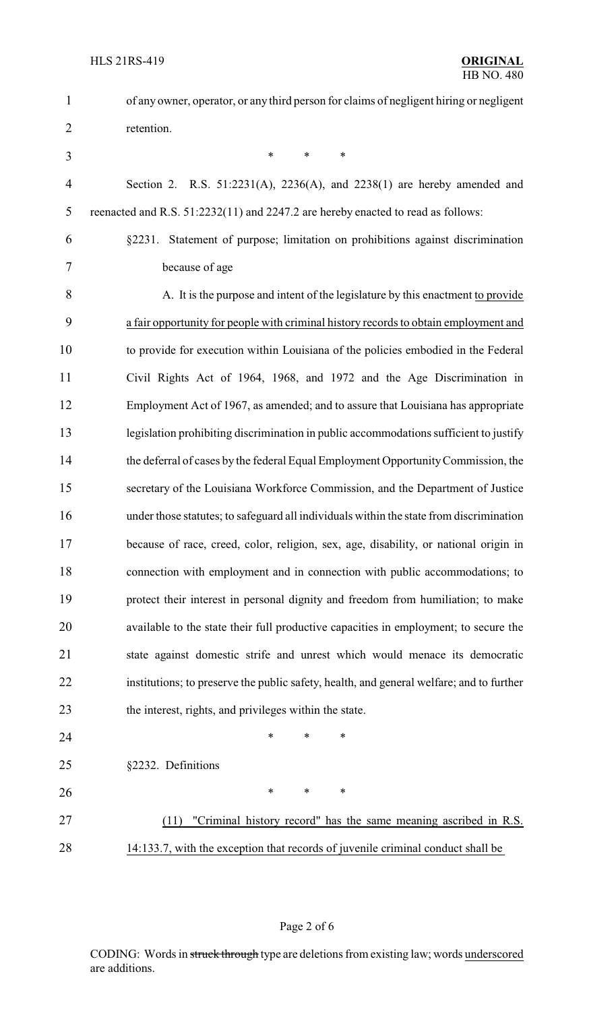| $\mathbf{1}$   | of any owner, operator, or any third person for claims of negligent hiring or negligent  |
|----------------|------------------------------------------------------------------------------------------|
| $\overline{2}$ | retention.                                                                               |
| 3              | $\ast$<br>$\ast$<br>$\ast$                                                               |
| $\overline{4}$ | Section 2. R.S. $51:2231(A)$ , $2236(A)$ , and $2238(1)$ are hereby amended and          |
| 5              | reenacted and R.S. 51:2232(11) and 2247.2 are hereby enacted to read as follows:         |
| 6              | §2231. Statement of purpose; limitation on prohibitions against discrimination           |
| 7              | because of age                                                                           |
| 8              | A. It is the purpose and intent of the legislature by this enactment to provide          |
| 9              | a fair opportunity for people with criminal history records to obtain employment and     |
| 10             | to provide for execution within Louisiana of the policies embodied in the Federal        |
| 11             | Civil Rights Act of 1964, 1968, and 1972 and the Age Discrimination in                   |
| 12             | Employment Act of 1967, as amended; and to assure that Louisiana has appropriate         |
| 13             | legislation prohibiting discrimination in public accommodations sufficient to justify    |
| 14             | the deferral of cases by the federal Equal Employment Opportunity Commission, the        |
| 15             | secretary of the Louisiana Workforce Commission, and the Department of Justice           |
| 16             | under those statutes; to safeguard all individuals within the state from discrimination  |
| 17             | because of race, creed, color, religion, sex, age, disability, or national origin in     |
| 18             | connection with employment and in connection with public accommodations; to              |
| 19             | protect their interest in personal dignity and freedom from humiliation; to make         |
| 20             | available to the state their full productive capacities in employment; to secure the     |
| 21             | state against domestic strife and unrest which would menace its democratic               |
| 22             | institutions; to preserve the public safety, health, and general welfare; and to further |
| 23             | the interest, rights, and privileges within the state.                                   |
| 24             | *<br>*<br>∗                                                                              |
| 25             | §2232. Definitions                                                                       |
| 26             | $\ast$<br>$\ast$<br>$\ast$                                                               |
| 27             | "Criminal history record" has the same meaning ascribed in R.S.<br>(11)                  |
| 28             | 14:133.7, with the exception that records of juvenile criminal conduct shall be          |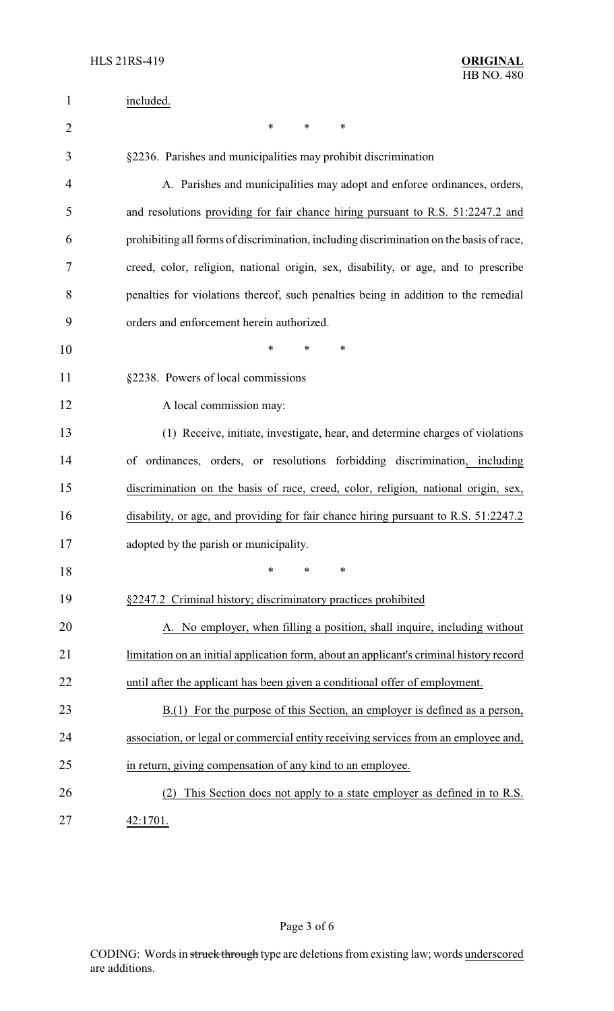| $\mathbf{1}$   | included.                                                                               |  |
|----------------|-----------------------------------------------------------------------------------------|--|
| $\overline{2}$ | ∗<br>$\ast$<br>∗                                                                        |  |
| 3              | §2236. Parishes and municipalities may prohibit discrimination                          |  |
| 4              | A. Parishes and municipalities may adopt and enforce ordinances, orders,                |  |
| 5              | and resolutions providing for fair chance hiring pursuant to R.S. 51:2247.2 and         |  |
| 6              | prohibiting all forms of discrimination, including discrimination on the basis of race, |  |
| 7              | creed, color, religion, national origin, sex, disability, or age, and to prescribe      |  |
| 8              | penalties for violations thereof, such penalties being in addition to the remedial      |  |
| 9              | orders and enforcement herein authorized.                                               |  |
| 10             | $\ast$<br>$\ast$<br>∗                                                                   |  |
| 11             | §2238. Powers of local commissions                                                      |  |
| 12             | A local commission may:                                                                 |  |
| 13             | (1) Receive, initiate, investigate, hear, and determine charges of violations           |  |
| 14             | of ordinances, orders, or resolutions forbidding discrimination, including              |  |
| 15             | discrimination on the basis of race, creed, color, religion, national origin, sex,      |  |
| 16             | disability, or age, and providing for fair chance hiring pursuant to R.S. 51:2247.2     |  |
| 17             | adopted by the parish or municipality.                                                  |  |
| 18             | $\ast$<br>$\ast$<br>$\ast$                                                              |  |
| 19             | §2247.2 Criminal history; discriminatory practices prohibited                           |  |
| 20             | A. No employer, when filling a position, shall inquire, including without               |  |
| 21             | limitation on an initial application form, about an applicant's criminal history record |  |
| 22             | until after the applicant has been given a conditional offer of employment.             |  |
| 23             | $B(1)$ For the purpose of this Section, an employer is defined as a person,             |  |
| 24             | association, or legal or commercial entity receiving services from an employee and,     |  |
| 25             | in return, giving compensation of any kind to an employee.                              |  |
| 26             | This Section does not apply to a state employer as defined in to R.S.                   |  |
| 27             | 42:1701.                                                                                |  |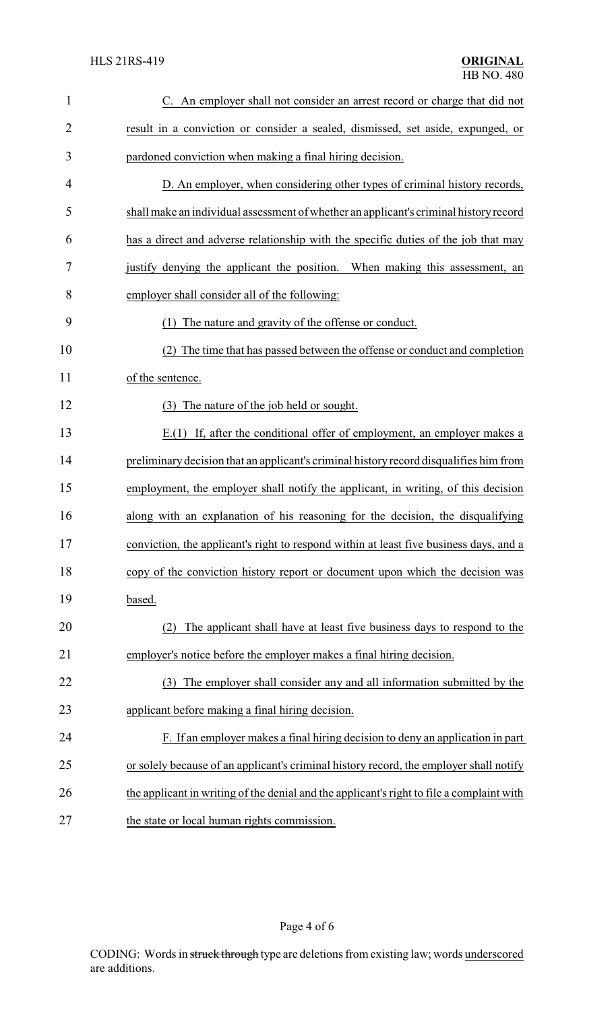| $\mathbf{1}$   | C. An employer shall not consider an arrest record or charge that did not                 |
|----------------|-------------------------------------------------------------------------------------------|
| $\overline{2}$ | result in a conviction or consider a sealed, dismissed, set aside, expunged, or           |
| 3              | pardoned conviction when making a final hiring decision.                                  |
| 4              | D. An employer, when considering other types of criminal history records,                 |
| 5              | shall make an individual assessment of whether an applicant's criminal history record     |
| 6              | has a direct and adverse relationship with the specific duties of the job that may        |
| 7              | justify denying the applicant the position. When making this assessment, an               |
| 8              | employer shall consider all of the following:                                             |
| 9              | The nature and gravity of the offense or conduct.<br>(1)                                  |
| 10             | The time that has passed between the offense or conduct and completion<br>(2)             |
| 11             | of the sentence.                                                                          |
| 12             | (3) The nature of the job held or sought.                                                 |
| 13             | $E(1)$ If, after the conditional offer of employment, an employer makes a                 |
| 14             | preliminary decision that an applicant's criminal history record disqualifies him from    |
| 15             | employment, the employer shall notify the applicant, in writing, of this decision         |
| 16             | along with an explanation of his reasoning for the decision, the disqualifying            |
| 17             | conviction, the applicant's right to respond within at least five business days, and a    |
| 18             | copy of the conviction history report or document upon which the decision was             |
| 19             | based.                                                                                    |
| 20             | The applicant shall have at least five business days to respond to the<br>(2)             |
| 21             | employer's notice before the employer makes a final hiring decision.                      |
| 22             | The employer shall consider any and all information submitted by the<br>(3)               |
| 23             | applicant before making a final hiring decision.                                          |
| 24             | F. If an employer makes a final hiring decision to deny an application in part            |
| 25             | or solely because of an applicant's criminal history record, the employer shall notify    |
| 26             | the applicant in writing of the denial and the applicant's right to file a complaint with |
| 27             | the state or local human rights commission.                                               |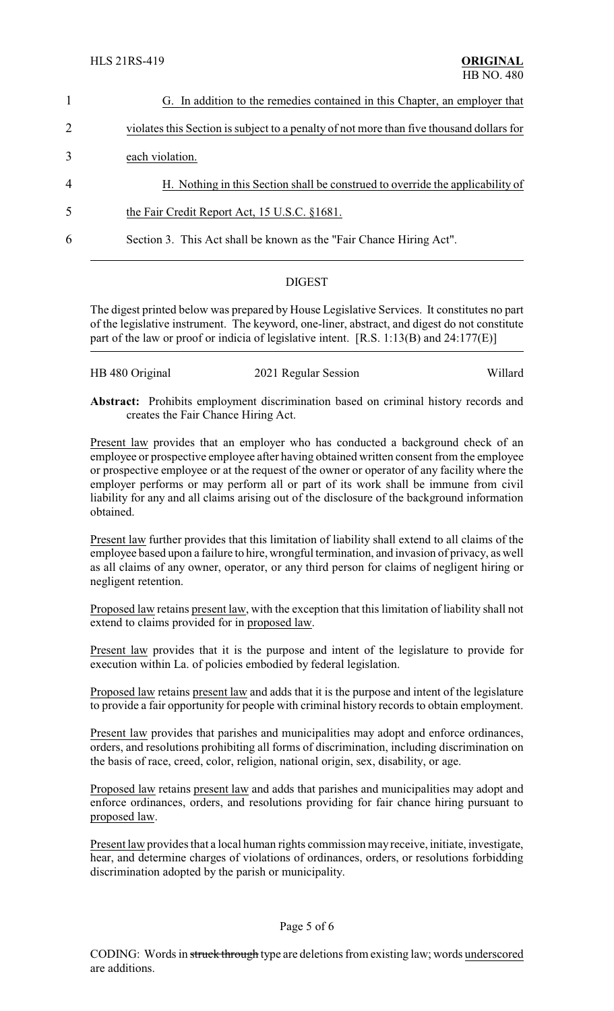|                | G. In addition to the remedies contained in this Chapter, an employer that               |
|----------------|------------------------------------------------------------------------------------------|
| 2              | violates this Section is subject to a penalty of not more than five thousand dollars for |
| 3              | each violation.                                                                          |
| $\overline{4}$ | H. Nothing in this Section shall be construed to override the applicability of           |
| 5              | the Fair Credit Report Act, 15 U.S.C. §1681.                                             |
| 6              | Section 3. This Act shall be known as the "Fair Chance Hiring Act".                      |

## **DIGEST**

The digest printed below was prepared by House Legislative Services. It constitutes no part of the legislative instrument. The keyword, one-liner, abstract, and digest do not constitute part of the law or proof or indicia of legislative intent. [R.S. 1:13(B) and 24:177(E)]

| HB 480 Original | 2021 Regular Session | Willard |
|-----------------|----------------------|---------|
|-----------------|----------------------|---------|

**Abstract:** Prohibits employment discrimination based on criminal history records and creates the Fair Chance Hiring Act.

Present law provides that an employer who has conducted a background check of an employee or prospective employee after having obtained written consent from the employee or prospective employee or at the request of the owner or operator of any facility where the employer performs or may perform all or part of its work shall be immune from civil liability for any and all claims arising out of the disclosure of the background information obtained.

Present law further provides that this limitation of liability shall extend to all claims of the employee based upon a failure to hire, wrongful termination, and invasion of privacy, as well as all claims of any owner, operator, or any third person for claims of negligent hiring or negligent retention.

Proposed law retains present law, with the exception that this limitation of liability shall not extend to claims provided for in proposed law.

Present law provides that it is the purpose and intent of the legislature to provide for execution within La. of policies embodied by federal legislation.

Proposed law retains present law and adds that it is the purpose and intent of the legislature to provide a fair opportunity for people with criminal history records to obtain employment.

Present law provides that parishes and municipalities may adopt and enforce ordinances, orders, and resolutions prohibiting all forms of discrimination, including discrimination on the basis of race, creed, color, religion, national origin, sex, disability, or age.

Proposed law retains present law and adds that parishes and municipalities may adopt and enforce ordinances, orders, and resolutions providing for fair chance hiring pursuant to proposed law.

Present law provides that a local human rights commission may receive, initiate, investigate, hear, and determine charges of violations of ordinances, orders, or resolutions forbidding discrimination adopted by the parish or municipality.